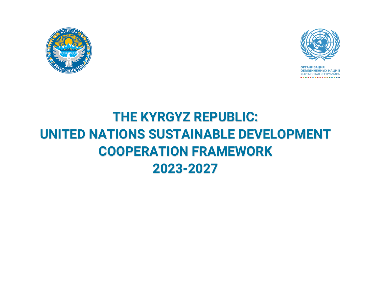



**ОРГАНИЗАЦИЯ ОБЪЕДИНЕННЫХ НАЦИЙ КЫРГЫЗСКАЯ РЕСПУБЛИКА** . . . **. .** . . **. . . . . . . . . .** 

## **THE KYRGYZ REPUBLIC: UNITED NATIONS SUSTAINABLE DEVELOPMENT COOPERATION FRAMEWORK 2023-2027**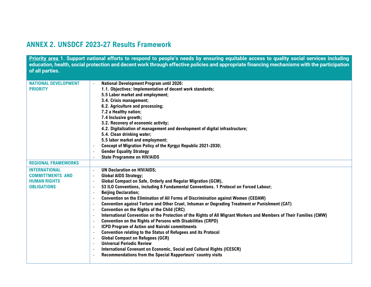## **ANNEX 2. UNSDCF 2023-27 Results Framework**

**Priority area 1. Support national efforts to respond to people's needs by ensuring equitable access to quality social services including education, health, social protection and decent work through effective policies and appropriate financing mechanisms with the participation of all parties.**

| <b>NATIONAL DEVELOPMENT</b> | <b>National Development Program until 2026:</b>                                                                                       |
|-----------------------------|---------------------------------------------------------------------------------------------------------------------------------------|
| <b>PRIORITY</b>             | 1.1. Objectives: Implementation of decent work standards;                                                                             |
|                             | 5.5 Labor market and employment;                                                                                                      |
|                             | 3.4. Crisis management;                                                                                                               |
|                             | 6.2. Agriculture and processing;                                                                                                      |
|                             | 7.2 a Healthy nation;                                                                                                                 |
|                             | 7.4 Inclusive growth;                                                                                                                 |
|                             | 3.2. Recovery of economic activity;                                                                                                   |
|                             | 4.2. Digitalization of management and development of digital infrastructure;                                                          |
|                             | 5.4. Clean drinking water;                                                                                                            |
|                             | 5.5 labor market and employment;                                                                                                      |
|                             | Concept of Migration Policy of the Kyrgyz Republic 2021-2030;<br>$\blacksquare$                                                       |
|                             | <b>Gender Equality Strategy</b>                                                                                                       |
|                             | <b>State Programme on HIV/AIDS</b>                                                                                                    |
| <b>REGIONAL FRAMEWORKS</b>  |                                                                                                                                       |
| <b>INTERNATIONAL</b>        | <b>UN Declaration on HIV/AIDS;</b><br>$\overline{\phantom{a}}$                                                                        |
| <b>COMMITTMENTS AND</b>     | <b>Global AIDS Strategy;</b><br>$\blacksquare$                                                                                        |
| <b>HUMAN RIGHTS</b>         | Global Compact on Safe, Orderly and Regular Migration (GCM),<br>$\blacksquare$                                                        |
| <b>OBLIGATIONS</b>          | 53 ILO Conventions, including 8 Fundamental Conventions. 1 Protocol on Forced Labour;<br>$\blacksquare$                               |
|                             | <b>Beijing Declaration;</b><br>$\overline{a}$                                                                                         |
|                             | <b>Convention on the Elimination of All Forms of Discrimination against Women (CEDAW)</b><br>$\blacksquare$                           |
|                             | Convention against Torture and Other Cruel, Inhuman or Degrading Treatment or Punishment (CAT)<br>$\overline{\phantom{a}}$            |
|                             | Convention on the Rights of the Child (CRC)<br>$\blacksquare$                                                                         |
|                             | International Convention on the Protection of the Rights of All Migrant Workers and Members of Their Families (CMW)<br>$\blacksquare$ |
|                             | <b>Convention on the Rights of Persons with Disabilities (CRPD)</b><br>$\overline{\phantom{a}}$                                       |
|                             | <b>ICPD Program of Action and Nairobi commitments</b><br>$\blacksquare$                                                               |
|                             | <b>Convention relating to the Status of Refugees and its Protocol</b><br>$\overline{\phantom{a}}$                                     |
|                             | <b>Global Compact on Refugees (GCR)</b><br>$\blacksquare$                                                                             |
|                             | <b>Universal Periodic Review</b><br>$\blacksquare$                                                                                    |
|                             | International Covenant on Economic, Social and Cultural Rights (ICESCR)<br>$\blacksquare$                                             |
|                             | Recommendations from the Special Rapporteurs' country visits<br>$\overline{\phantom{a}}$                                              |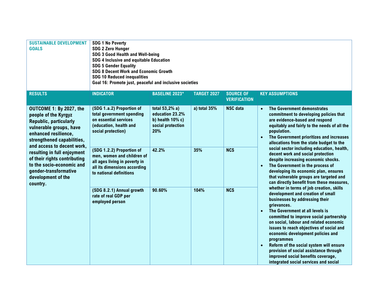| <b>SUSTAINABLE DEVELOPMENT</b><br><b>GOALS</b>                                                                                                                                                  | <b>SDG 1 No Poverty</b><br><b>SDG 2 Zero Hunger</b><br>SDG 3 Good Health and Well-being<br>SDG 4 Inclusive and equitable Education<br><b>SDG 5 Gender Equality</b><br><b>SDG 8 Decent Work and Economic Growth</b><br><b>SDG 10 Reduced inequalities</b><br>Goal 16: Promote just, peaceful and inclusive societies |                       |                                                                                                                                                                                                                                                                                          |                                         |                                                                                                                                                                                                                                                                                                                                                                                                                                                                                                                                        |
|-------------------------------------------------------------------------------------------------------------------------------------------------------------------------------------------------|---------------------------------------------------------------------------------------------------------------------------------------------------------------------------------------------------------------------------------------------------------------------------------------------------------------------|-----------------------|------------------------------------------------------------------------------------------------------------------------------------------------------------------------------------------------------------------------------------------------------------------------------------------|-----------------------------------------|----------------------------------------------------------------------------------------------------------------------------------------------------------------------------------------------------------------------------------------------------------------------------------------------------------------------------------------------------------------------------------------------------------------------------------------------------------------------------------------------------------------------------------------|
| <b>RESULTS</b>                                                                                                                                                                                  | <b>INDICATOR</b>                                                                                                                                                                                                                                                                                                    | <b>BASELINE 2023*</b> | <b>TARGET 2027</b>                                                                                                                                                                                                                                                                       | <b>SOURCE OF</b><br><b>VERIFICATION</b> | <b>KEY ASSUMPTIONS</b>                                                                                                                                                                                                                                                                                                                                                                                                                                                                                                                 |
| OUTCOME 1: By 2027, the<br>people of the Kyrgyz<br><b>Republic, particularly</b><br>vulnerable groups, have<br>enhanced resilience,<br>strengthened capabilities,<br>and access to decent work, | (SDG 1.a.2) Proportion of<br>a) total 35%<br>total 53,2% a)<br>total government spending<br>education 23.2%<br>on essential services<br>b) health $10\%$ c)<br>(education, health and<br>social protection<br>social protection)<br>20%                                                                             | <b>NSC</b> data       | The Government demonstrates<br>$\bullet$<br>commitment to developing policies that<br>are evidence-based and respond<br>equitably and fairly to the needs of all the<br>population.<br>The Government prioritizes and increases<br>$\bullet$<br>allocations from the state budget to the |                                         |                                                                                                                                                                                                                                                                                                                                                                                                                                                                                                                                        |
| resulting in full enjoyment<br>of their rights contributing<br>to the socio-economic and<br>gender-transformative<br>development of the<br>country.                                             | (SDG 1.2.2) Proportion of<br>men, women and children of<br>all ages living in poverty in<br>all its dimensions according<br>to national definitions                                                                                                                                                                 | 42.2%                 | 35%                                                                                                                                                                                                                                                                                      | <b>NCS</b>                              | social sector including education, health,<br>decent work and social protection<br>despite increasing economic shocks.<br>The Government in the process of<br>developing its economic plan, ensures<br>that vulnerable groups are targeted and<br>can directly benefit from these measures,                                                                                                                                                                                                                                            |
|                                                                                                                                                                                                 | (SDG 8.2.1) Annual growth<br>rate of real GDP per<br>employed person                                                                                                                                                                                                                                                | 90.60%                | 104%                                                                                                                                                                                                                                                                                     | <b>NCS</b>                              | whether in terms of job creation, skills<br>development and creation of small<br>businesses by addressing their<br>grievances.<br>The Government at all levels is<br>committed to improve social partnership<br>on social, labour and related economic<br>issues to reach objectives of social and<br>economic development policies and<br>programmes<br>Reform of the social system will ensure<br>$\bullet$<br>provision of social assistance through<br>improved social benefits coverage,<br>integrated social services and social |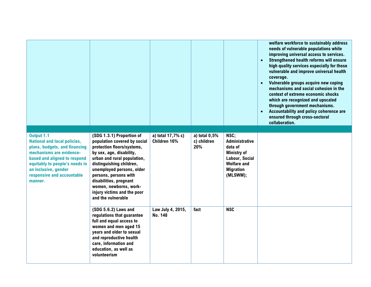|                                                                                                                                                                                                                                                   |                                                                                                                                                                                                                                                                                                                                               |                                   |                                       |                                                                                                                                        | welfare workforce to sustainably address<br>needs of vulnerable populations while<br>improving universal access to services.<br>Strengthened health reforms will ensure<br>$\bullet$<br>high quality services especially for those<br>vulnerable and improve universal health<br>coverage.<br>Vulnerable groups acquire new coping<br>$\bullet$<br>mechanisms and social cohesion in the<br>context of extreme economic shocks<br>which are recognized and upscaled<br>through government mechanisms.<br>Accountability and policy coherence are<br>$\bullet$<br>ensured through cross-sectoral<br>collaboration. |
|---------------------------------------------------------------------------------------------------------------------------------------------------------------------------------------------------------------------------------------------------|-----------------------------------------------------------------------------------------------------------------------------------------------------------------------------------------------------------------------------------------------------------------------------------------------------------------------------------------------|-----------------------------------|---------------------------------------|----------------------------------------------------------------------------------------------------------------------------------------|-------------------------------------------------------------------------------------------------------------------------------------------------------------------------------------------------------------------------------------------------------------------------------------------------------------------------------------------------------------------------------------------------------------------------------------------------------------------------------------------------------------------------------------------------------------------------------------------------------------------|
| Output 1.1<br><b>National and local policies,</b><br>plans, budgets, and financing<br>mechanisms are evidence-<br>based and aligned to respond<br>equitably to people's needs in<br>an inclusive, gender<br>responsive and accountable<br>manner. | (SDG 1.3.1) Proportion of<br>population covered by social<br>protection floors/systems,<br>by sex, age, disability,<br>urban and rural population,<br>distinguishing children,<br>unemployed persons, older<br>persons, persons with<br>disabilities, pregnant<br>women, newborns, work-<br>injury victims and the poor<br>and the vulnerable | a) total 17,7% c)<br>Children 16% | a) total $0,5%$<br>c) children<br>20% | NSC:<br><b>Administrative</b><br>data of<br><b>Ministry of</b><br>Labour, Social<br><b>Welfare and</b><br><b>Migration</b><br>(MLSWM); |                                                                                                                                                                                                                                                                                                                                                                                                                                                                                                                                                                                                                   |
|                                                                                                                                                                                                                                                   | (SDG 5.6.2) Laws and<br>regulations that guarantee<br>full and equal access to<br>women and men aged 15<br>years and older to sexual<br>and reproductive health<br>care, information and<br>education, as well as<br>volunteerism                                                                                                             | Law July 4, 2015,<br>No. 148      | fact                                  | <b>NSC</b>                                                                                                                             |                                                                                                                                                                                                                                                                                                                                                                                                                                                                                                                                                                                                                   |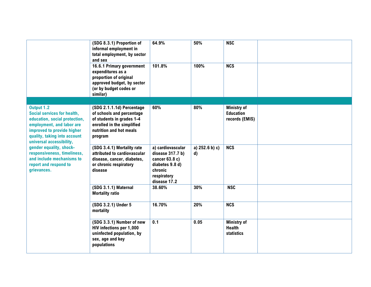|                                                                                                                                                                                                                                                                                                                                  | (SDG 8.3.1) Proportion of<br>informal employment in<br>total employment, by sector<br>and sex                                                           | 64.9%                                                                                                                | 50%                               | <b>NSC</b>                                               |  |
|----------------------------------------------------------------------------------------------------------------------------------------------------------------------------------------------------------------------------------------------------------------------------------------------------------------------------------|---------------------------------------------------------------------------------------------------------------------------------------------------------|----------------------------------------------------------------------------------------------------------------------|-----------------------------------|----------------------------------------------------------|--|
|                                                                                                                                                                                                                                                                                                                                  | 16.6.1 Primary government<br>expenditures as a<br>proportion of original<br>approved budget, by sector<br>(or by budget codes or<br>similar)            | 101.8%                                                                                                               | 100%                              | <b>NCS</b>                                               |  |
|                                                                                                                                                                                                                                                                                                                                  |                                                                                                                                                         |                                                                                                                      |                                   |                                                          |  |
| Output 1.2<br>Social services for health,<br>education, social protection,<br>employment, and labor are<br>improved to provide higher<br>quality, taking into account<br>universal accessibility,<br>gender equality, shock-<br>responsiveness, timeliness,<br>and include mechanisms to<br>report and respond to<br>grievances. | (SDG 2.1.1.1d) Percentage<br>of schools and percentage<br>of students in grades 1-4<br>enrolled in the simplified<br>nutrition and hot meals<br>program | 60%                                                                                                                  | 80%                               | <b>Ministry of</b><br><b>Education</b><br>records (EMIS) |  |
|                                                                                                                                                                                                                                                                                                                                  | (SDG 3.4.1) Mortality rate<br>attributed to cardiovascular<br>disease, cancer, diabetes,<br>or chronic respiratory<br>disease                           | a) cardiovascular<br>disease $317.7b$<br>cancer 63.8 c)<br>diabetes 9.8 d)<br>chronic<br>respiratory<br>disease 17.2 | a) $252.6 b$ ) c)<br>$\mathbf{d}$ | $\overline{\text{NCS}}$                                  |  |
|                                                                                                                                                                                                                                                                                                                                  | (SDG 3.1.1) Maternal<br><b>Mortality ratio</b>                                                                                                          | 38.60%                                                                                                               | 30%                               | <b>NSC</b>                                               |  |
|                                                                                                                                                                                                                                                                                                                                  | (SDG 3.2.1) Under 5<br>mortality                                                                                                                        | 16.70%                                                                                                               | 20%                               | <b>NCS</b>                                               |  |
|                                                                                                                                                                                                                                                                                                                                  | (SDG 3.3.1) Number of new<br>HIV infections per 1,000<br>uninfected population, by<br>sex, age and key<br>populations                                   | 0.1                                                                                                                  | 0.05                              | <b>Ministry of</b><br><b>Health</b><br><b>statistics</b> |  |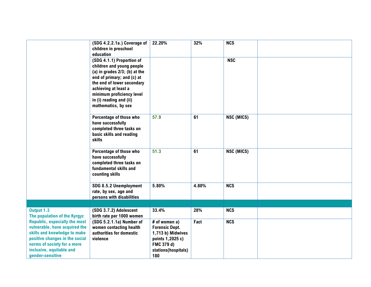|                                                                                                                                                                                                                        | (SDG 4.2.2.1a.) Coverage of<br>children in preschool<br>education                                                                                                                                                                                          | 22.20%                                                                                                                      | 32%   | <b>NCS</b> |  |
|------------------------------------------------------------------------------------------------------------------------------------------------------------------------------------------------------------------------|------------------------------------------------------------------------------------------------------------------------------------------------------------------------------------------------------------------------------------------------------------|-----------------------------------------------------------------------------------------------------------------------------|-------|------------|--|
|                                                                                                                                                                                                                        | (SDG 4.1.1) Proportion of<br>children and young people<br>(a) in grades 2/3; (b) at the<br>end of primary; and (c) at<br>the end of lower secondary<br>achieving at least a<br>minimum proficiency level<br>in (i) reading and (ii)<br>mathematics, by sex |                                                                                                                             |       | <b>NSC</b> |  |
|                                                                                                                                                                                                                        | Percentage of those who<br>have successfully<br>completed three tasks on<br>basic skills and reading<br>skills                                                                                                                                             | 57.9                                                                                                                        | 61    | NSC (MICS) |  |
|                                                                                                                                                                                                                        | Percentage of those who<br>have successfully<br>completed three tasks on<br>fundamental skills and<br>counting skills                                                                                                                                      | 51.3                                                                                                                        | 61    | NSC (MICS) |  |
|                                                                                                                                                                                                                        | SDG 8.5.2 Unemployment<br>rate, by sex, age and<br>persons with disabilities                                                                                                                                                                               | 5.80%                                                                                                                       | 4.80% | <b>NCS</b> |  |
|                                                                                                                                                                                                                        |                                                                                                                                                                                                                                                            |                                                                                                                             |       |            |  |
| Output 1.3<br>The population of the Kyrgyz                                                                                                                                                                             | (SDG 3.7.2) Adolescent<br>birth rate per 1000 women                                                                                                                                                                                                        | 33.4%                                                                                                                       | 28%   | <b>NCS</b> |  |
| <b>Republic, especially the most</b><br>vulnerable, have acquired the<br>skills and knowledge to make<br>positive changes in the social<br>norms of society for a more<br>inclusive, equitable and<br>gender-sensitive | (SDG 5.2.1.1a) Number of<br>women contacting health<br>authorities for domestic<br>violence                                                                                                                                                                | # of women a)<br><b>Forensic Dept.</b><br>1,713 b) Midwives<br>points 1,2025 c)<br>FMC 379 d)<br>stations(hospitals)<br>180 | Fact  | <b>NCS</b> |  |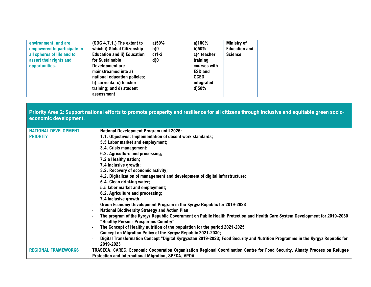| environment, and are<br>empowered to participate in<br>all spheres of life and to<br>assert their rights and<br>opportunities. | (SDG 4.7.1.) The extent to<br>which i) Global Citizenship<br><b>Education and ii) Education</b><br>for Sustainable<br>Development are<br>mainstreamed into a)<br>national education policies;<br>b) curricula; c) teacher<br>training; and d) student<br>assessment | a)50%<br>b)0<br>$c$ )1-2<br>$d$ ) $0$ | a)100%<br>b)50%<br>c)4 teacher<br>training<br>courses with<br><b>ESD and</b><br><b>GCED</b><br>integrated<br>d)50% | <b>Ministry of</b><br><b>Education and</b><br><b>Science</b> |  |  |  |
|--------------------------------------------------------------------------------------------------------------------------------|---------------------------------------------------------------------------------------------------------------------------------------------------------------------------------------------------------------------------------------------------------------------|---------------------------------------|--------------------------------------------------------------------------------------------------------------------|--------------------------------------------------------------|--|--|--|
|--------------------------------------------------------------------------------------------------------------------------------|---------------------------------------------------------------------------------------------------------------------------------------------------------------------------------------------------------------------------------------------------------------------|---------------------------------------|--------------------------------------------------------------------------------------------------------------------|--------------------------------------------------------------|--|--|--|

**Priority Area 2: Support national efforts to promote prosperity and resilience for all citizens through inclusive and equitable green socioeconomic development.** 

| <b>NATIONAL DEVELOPMENT</b> | <b>National Development Program until 2026:</b>                                                                                |
|-----------------------------|--------------------------------------------------------------------------------------------------------------------------------|
| <b>PRIORITY</b>             | 1.1. Objectives: Implementation of decent work standards;                                                                      |
|                             | 5.5 Labor market and employment;                                                                                               |
|                             | 3.4. Crisis management;                                                                                                        |
|                             | 6.2. Agriculture and processing;                                                                                               |
|                             | 7.2 a Healthy nation;                                                                                                          |
|                             | 7.4 Inclusive growth;                                                                                                          |
|                             | 3.2. Recovery of economic activity;                                                                                            |
|                             | 4.2. Digitalization of management and development of digital infrastructure;                                                   |
|                             | 5.4. Clean drinking water;                                                                                                     |
|                             | 5.5 labor market and employment;                                                                                               |
|                             | 6.2. Agriculture and processing;                                                                                               |
|                             | 7.4 inclusive growth                                                                                                           |
|                             | Green Economy Development Program in the Kyrgyz Republic for 2019-2023                                                         |
|                             | <b>National Biodiversity Strategy and Action Plan</b>                                                                          |
|                             | The program of the Kyrgyz Republic Government on Public Health Protection and Health Care System Development for 2019-2030     |
|                             | "Healthy Person- Prosperous Country"                                                                                           |
|                             | The Concept of Healthy nutrition of the population for the period 2021-2025                                                    |
|                             | Concept on Migration Policy of the Kyrgyz Republic 2021-2030;                                                                  |
|                             | Digital Transformation Concept "Digital Kyrgyzstan 2019-2023; Food Security and Nutrition Programme in the Kyrgyz Republic for |
|                             | 2019-2023                                                                                                                      |
| <b>REGIONAL FRAMEWORKS</b>  | TRASECA, CAREC, Economic Cooperation Organization Regional Coordination Centre for Food Security, Almaty Process on Refugee    |
|                             | Protection and International Migration, SPECA, VPOA                                                                            |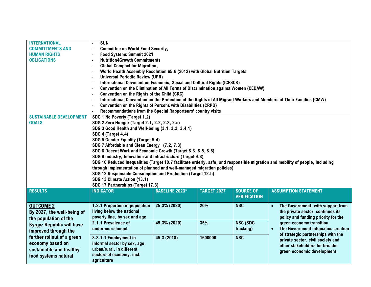| <b>INTERNATIONAL</b><br><b>COMMITTMENTS AND</b><br><b>HUMAN RIGHTS</b><br><b>OBLIGATIONS</b> | <b>SUN</b><br>$\overline{a}$<br><b>Committee on World Food Security,</b><br>$\overline{a}$<br><b>Food Systems Summit 2021</b><br><b>Nutrition4Growth Commitments</b>                                     |                                                                            |                    |                                         |                                                                                                                     |  |  |
|----------------------------------------------------------------------------------------------|----------------------------------------------------------------------------------------------------------------------------------------------------------------------------------------------------------|----------------------------------------------------------------------------|--------------------|-----------------------------------------|---------------------------------------------------------------------------------------------------------------------|--|--|
|                                                                                              | <b>Global Compact for Migration,</b><br>$\overline{a}$                                                                                                                                                   |                                                                            |                    |                                         |                                                                                                                     |  |  |
|                                                                                              |                                                                                                                                                                                                          | World Health Assembly Resolution 65.6 (2012) with Global Nutrition Targets |                    |                                         |                                                                                                                     |  |  |
|                                                                                              | <b>Universal Periodic Review (UPR)</b><br>$\overline{a}$                                                                                                                                                 |                                                                            |                    |                                         |                                                                                                                     |  |  |
|                                                                                              | International Covenant on Economic, Social and Cultural Rights (ICESCR)<br>$\overline{a}$                                                                                                                |                                                                            |                    |                                         |                                                                                                                     |  |  |
|                                                                                              | <b>Convention on the Elimination of All Forms of Discrimination against Women (CEDAW)</b><br>$\overline{\phantom{a}}$                                                                                    |                                                                            |                    |                                         |                                                                                                                     |  |  |
|                                                                                              | Convention on the Rights of the Child (CRC)<br>$\overline{a}$                                                                                                                                            |                                                                            |                    |                                         |                                                                                                                     |  |  |
|                                                                                              | <b>Convention on the Rights of Persons with Disabilities (CRPD)</b>                                                                                                                                      |                                                                            |                    |                                         | International Convention on the Protection of the Rights of All Migrant Workers and Members of Their Families (CMW) |  |  |
|                                                                                              | Recommendations from the Special Rapporteurs' country visits                                                                                                                                             |                                                                            |                    |                                         |                                                                                                                     |  |  |
| <b>SUSTAINABLE DEVELOPMENT</b>                                                               | SDG 1 No Poverty (Target 1.2)                                                                                                                                                                            |                                                                            |                    |                                         |                                                                                                                     |  |  |
| <b>GOALS</b>                                                                                 |                                                                                                                                                                                                          | SDG 2 Zero Hunger (Target 2.1, 2.2, 2.3, 2.c)                              |                    |                                         |                                                                                                                     |  |  |
|                                                                                              | SDG 3 Good Health and Well-being (3.1, 3.2, 3.4.1)                                                                                                                                                       |                                                                            |                    |                                         |                                                                                                                     |  |  |
|                                                                                              | SDG 4 (Target 4.4)                                                                                                                                                                                       |                                                                            |                    |                                         |                                                                                                                     |  |  |
|                                                                                              | SDG 5 Gender Equality (Target 5.4)                                                                                                                                                                       |                                                                            |                    |                                         |                                                                                                                     |  |  |
|                                                                                              | SDG 7 Affordable and Clean Energy (7.2, 7.3)                                                                                                                                                             |                                                                            |                    |                                         |                                                                                                                     |  |  |
|                                                                                              | SDG 8 Decent Work and Economic Growth (Target 8.3, 8.5, 8.6)                                                                                                                                             |                                                                            |                    |                                         |                                                                                                                     |  |  |
|                                                                                              | SDG 9 Industry, Innovation and Infrastructure (Target 9.3)                                                                                                                                               |                                                                            |                    |                                         |                                                                                                                     |  |  |
|                                                                                              | SDG 10 Reduced inequalities (Target 10.7 facilitate orderly, safe, and responsible migration and mobility of people, including<br>through implementation of planned and well-managed migration policies) |                                                                            |                    |                                         |                                                                                                                     |  |  |
|                                                                                              | SDG 12 Responsible Consumption and Production (Target 12.b)                                                                                                                                              |                                                                            |                    |                                         |                                                                                                                     |  |  |
|                                                                                              | SDG 13 Climate Action (13.1)                                                                                                                                                                             |                                                                            |                    |                                         |                                                                                                                     |  |  |
|                                                                                              | SDG 17 Partnerships (Target 17.3)                                                                                                                                                                        |                                                                            |                    |                                         |                                                                                                                     |  |  |
| <b>RESULTS</b>                                                                               | <b>INDICATOR</b>                                                                                                                                                                                         | <b>BASELINE 2023*</b>                                                      | <b>TARGET 2027</b> | <b>SOURCE OF</b><br><b>VERIFICATION</b> | <b>ASSUMPTION STATEMENT</b>                                                                                         |  |  |
| <b>OUTCOME 2</b>                                                                             | 1.2.1 Proportion of population                                                                                                                                                                           | 25,3% (2020)                                                               | 20%                | <b>NSC</b>                              | The Government, with support from<br>$\bullet$                                                                      |  |  |
| By 2027, the well-being of                                                                   | living below the national                                                                                                                                                                                |                                                                            |                    |                                         | the private sector, continues its                                                                                   |  |  |
| the population of the                                                                        | poverty line, by sex and age                                                                                                                                                                             |                                                                            |                    |                                         | policy and funding priority for the                                                                                 |  |  |
| <b>Kyrgyz Republic will have</b>                                                             | 2.1.1 Prevalence of                                                                                                                                                                                      | 45,3% (2020)                                                               | 35%                | <b>NSC (SDG</b>                         | green economy transition.                                                                                           |  |  |
| improved through the                                                                         | undernourishment                                                                                                                                                                                         |                                                                            |                    | tracking)                               | The Government intensifies creation<br>$\bullet$                                                                    |  |  |
| further rollout of a green                                                                   | 8.3.1.1 Employment in                                                                                                                                                                                    | 45,3 (2018)                                                                | 1600000            | <b>NSC</b>                              | of strategic partnerships with the<br>private sector, civil society and                                             |  |  |
| economy based on                                                                             | informal sector by sex, age,                                                                                                                                                                             |                                                                            |                    |                                         | other stakeholders for broader                                                                                      |  |  |
| sustainable and healthy                                                                      | urban/rural, in different                                                                                                                                                                                |                                                                            |                    |                                         | green economic development.                                                                                         |  |  |
| food systems natural                                                                         | sectors of economy, incl.                                                                                                                                                                                |                                                                            |                    |                                         |                                                                                                                     |  |  |
|                                                                                              | agriculture                                                                                                                                                                                              |                                                                            |                    |                                         |                                                                                                                     |  |  |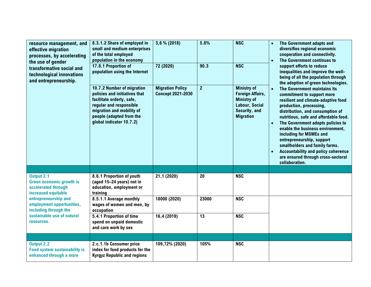| resource management, and<br>effective migration<br>processes, by accelerating<br>the use of gender<br>transformative social and<br>technological innovations<br>and entrepreneurship. | 8.3.1.2 Share of employed in<br>small and medium enterprises<br>of the total employed<br>population in the economy<br>17.8.1 Proportion of<br>population using the Internet<br>10.7.2 Number of migration<br>policies and initiatives that<br>facilitate orderly, safe,<br>regular and responsible<br>migration and mobility of<br>people (adapted from the<br>global indicator 10.7.2) | 3,6 % (2018)<br>72 (2020)<br><b>Migration Policy</b><br><b>Concept 2021-2030</b> | 5.8%<br>90.3<br>$\overline{2}$ | <b>NSC</b><br><b>NSC</b><br><b>Ministry of</b><br><b>Foreign Affairs,</b><br><b>Ministry of</b><br>Labour, Social<br>Security, and<br><b>Migration</b> | The Government adapts and<br>diversifies regional economic<br>cooperation and connectivity.<br>The Government continues to<br>$\bullet$<br>support efforts to reduce<br>inequalities and improve the well-<br>being of all the population through<br>the adoption of green technologies.<br>The Government maintains its<br>$\bullet$<br>commitment to support more<br>resilient and climate-adaptive food<br>production, processing,<br>distribution, and consumption of<br>nutritious, safe and affordable food.<br>The Government adopts policies to<br>$\bullet$<br>enable the business environment.<br>including for MSMEs and<br>entrepreneurship, support<br>smallholders and family farms.<br><b>Accountability and policy coherence</b><br>$\bullet$<br>are ensured through cross-sectoral<br>collaboration. |
|---------------------------------------------------------------------------------------------------------------------------------------------------------------------------------------|-----------------------------------------------------------------------------------------------------------------------------------------------------------------------------------------------------------------------------------------------------------------------------------------------------------------------------------------------------------------------------------------|----------------------------------------------------------------------------------|--------------------------------|--------------------------------------------------------------------------------------------------------------------------------------------------------|-----------------------------------------------------------------------------------------------------------------------------------------------------------------------------------------------------------------------------------------------------------------------------------------------------------------------------------------------------------------------------------------------------------------------------------------------------------------------------------------------------------------------------------------------------------------------------------------------------------------------------------------------------------------------------------------------------------------------------------------------------------------------------------------------------------------------|
|                                                                                                                                                                                       |                                                                                                                                                                                                                                                                                                                                                                                         |                                                                                  |                                |                                                                                                                                                        |                                                                                                                                                                                                                                                                                                                                                                                                                                                                                                                                                                                                                                                                                                                                                                                                                       |
| Output 2.1<br><b>Green economic growth is</b><br>accelerated through<br>increased equitable                                                                                           | 8.6.1 Proportion of youth<br>(aged 15-24 years) not in<br>education, employment or<br>training                                                                                                                                                                                                                                                                                          | 21,1 (2020)                                                                      | 20                             | <b>NSC</b>                                                                                                                                             |                                                                                                                                                                                                                                                                                                                                                                                                                                                                                                                                                                                                                                                                                                                                                                                                                       |
| entrepreneurship and<br>employment opportunities,<br>including through the                                                                                                            | 8.5.1.1 Average monthly<br>wages of women and men, by<br>occupation                                                                                                                                                                                                                                                                                                                     | 18000 (2020)                                                                     | 23000                          | <b>NSC</b>                                                                                                                                             |                                                                                                                                                                                                                                                                                                                                                                                                                                                                                                                                                                                                                                                                                                                                                                                                                       |
| sustainable use of natural<br>resources.                                                                                                                                              | 5.4.1 Proportion of time<br>spend on unpaid domestic<br>and care work by sex                                                                                                                                                                                                                                                                                                            | 16,4 (2019)                                                                      | 13                             | <b>NSC</b>                                                                                                                                             |                                                                                                                                                                                                                                                                                                                                                                                                                                                                                                                                                                                                                                                                                                                                                                                                                       |
|                                                                                                                                                                                       |                                                                                                                                                                                                                                                                                                                                                                                         |                                                                                  |                                |                                                                                                                                                        |                                                                                                                                                                                                                                                                                                                                                                                                                                                                                                                                                                                                                                                                                                                                                                                                                       |
| Output 2.2<br><b>Food system sustainability is</b><br>enhanced through a more                                                                                                         | 2.c.1.1b Consumer price<br>index for food products for the<br><b>Kyrgyz Republic and regions</b>                                                                                                                                                                                                                                                                                        | 109,72% (2020)                                                                   | 105%                           | <b>NSC</b>                                                                                                                                             |                                                                                                                                                                                                                                                                                                                                                                                                                                                                                                                                                                                                                                                                                                                                                                                                                       |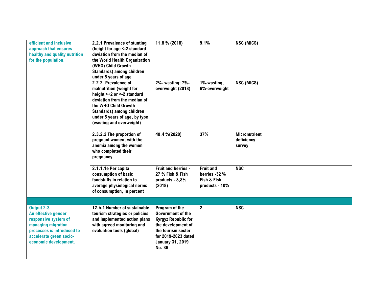| efficient and inclusive<br>approach that ensures<br>healthy and quality nutrition<br>for the population.                     | 2.2.1 Prevalence of stunting<br>(height for age <-2 standard<br>deviation from the median of<br>the World Health Organization<br>(WHO) Child Growth<br>Standards) among children<br>under 5 years of age                         | 11,8 % (2018)                                                                                                                      | 9.1%                                                               | NSC (MICS)                                   |  |
|------------------------------------------------------------------------------------------------------------------------------|----------------------------------------------------------------------------------------------------------------------------------------------------------------------------------------------------------------------------------|------------------------------------------------------------------------------------------------------------------------------------|--------------------------------------------------------------------|----------------------------------------------|--|
|                                                                                                                              | 2.2.2. Prevalence of<br>malnutrition (weight for<br>height >+2 or <-2 standard<br>deviation from the median of<br>the WHO Child Growth<br>Standards) among children<br>under 5 years of age, by type<br>(wasting and overweight) | 2%- wasting; 7%-<br>overweight (2018)                                                                                              | 1%-wasting,<br>6%-overweight                                       | NSC (MICS)                                   |  |
|                                                                                                                              | 2.3.2.2 The proportion of<br>pregnant women, with the<br>anemia among the women<br>who completed their<br>pregnancy                                                                                                              | 40.4 %(2020)                                                                                                                       | 37%                                                                | <b>Micronutrient</b><br>deficiency<br>survey |  |
|                                                                                                                              | 2.1.1.1e Per capita<br>consumption of basic<br>foodstuffs in relation to<br>average physiological norms<br>of consumption, in percent                                                                                            | Fruit and berries -<br>27 % Fish & Fish<br>products - 8,8%<br>(2018)                                                               | <b>Fruit and</b><br>berries -32 %<br>Fish & Fish<br>products - 10% | <b>NSC</b>                                   |  |
| Output 2.3<br>An effective gender                                                                                            | 12.b.1 Number of sustainable<br>tourism strategies or policies                                                                                                                                                                   | Program of the<br><b>Government of the</b>                                                                                         | $\mathbf{2}$                                                       | <b>NSC</b>                                   |  |
| responsive system of<br>managing migration<br>processes is introduced to<br>accelerate green socio-<br>economic development. | and implemented action plans<br>with agreed monitoring and<br>evaluation tools (global)                                                                                                                                          | <b>Kyrgyz Republic for</b><br>the development of<br>the tourism sector<br>for 2019-2023 dated<br><b>January 31, 2019</b><br>No. 36 |                                                                    |                                              |  |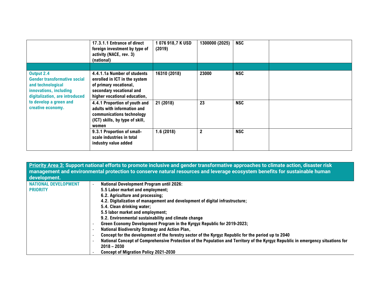|                                                                                                                                                                                   | 17.3.1.1 Entrance of direct<br>foreign investment by type of<br>activity (NACE, rev. 3)<br>(national)                                              | 1076918,7KUSD<br>(2019) | 1300000 (2025) | <b>NSC</b> |
|-----------------------------------------------------------------------------------------------------------------------------------------------------------------------------------|----------------------------------------------------------------------------------------------------------------------------------------------------|-------------------------|----------------|------------|
|                                                                                                                                                                                   |                                                                                                                                                    |                         |                |            |
| Output 2.4<br><b>Gender transformative social</b><br>and technological<br>innovations, including<br>digitalization, are introduced<br>to develop a green and<br>creative economy. | 4.4.1.1a Number of students<br>enrolled in ICT in the system<br>of primary vocational,<br>secondary vocational and<br>higher vocational education, | 16310 (2018)            | 23000          | <b>NSC</b> |
|                                                                                                                                                                                   | 4.4.1 Proportion of youth and<br>adults with information and<br>communications technology<br>(ICT) skills, by type of skill,<br>women              | 21 (2018)               | 23             | <b>NSC</b> |
|                                                                                                                                                                                   | 9.3.1 Proportion of small-<br>scale industries in total<br>industry value added                                                                    | 1.6(2018)               | $\overline{2}$ | <b>NSC</b> |

**Priority Area 3: Support national efforts to promote inclusive and gender transformative approaches to climate action, disaster risk management and environmental protection to conserve natural resources and leverage ecosystem benefits for sustainable human development. NATIONAL DEVELOPMENT PRIORITY** - **National Development Program until 2026:**  5.5 Labor market and employment; 6.2. Agriculture and processing; 4.2. Digitalization of management and development of digital infrastructure; 5.4. Clean drinking water; 5.5 labor market and employment; 9.2. Environmental sustainability and climate change - **Green Economy Development Program in the Kyrgyz Republic for 2019-2023;**  - **National Biodiversity Strategy and Action Plan,**  - **Concept for the development of the forestry sector of the Kyrgyz Republic for the period up to 2040** - **National Concept of Comprehensive Protection of the Population and Territory of the Kyrgyz Republic in emergency situations for 2018 – 2030** - **Concept of Migration Policy 2021-2030**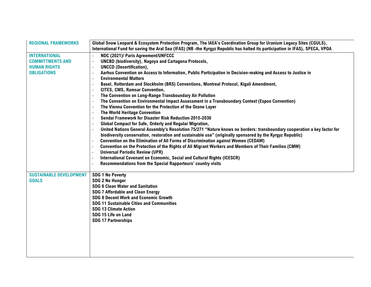| <b>REGIONAL FRAMEWORKS</b>     | Global Snow Leopard & Ecosystem Protection Program, The IAEA's Coordination Group for Uranium Legacy Sites (CGULS),          |
|--------------------------------|------------------------------------------------------------------------------------------------------------------------------|
|                                | International Fund for saving the Aral Sea (IFAS) (NB-the Kyrgyz Republic has halted its participation in IFAS), SPECA, VPOA |
| <b>INTERNATIONAL</b>           | NDC (2021)/ Paris Agreement/UNFCCC                                                                                           |
| <b>COMMITTMENTS AND</b>        | <b>UNCBD (biodiversity), Nagoya and Cartagena Protocols,</b>                                                                 |
| <b>HUMAN RIGHTS</b>            | <b>UNCCD (Desertification),</b>                                                                                              |
| <b>OBLIGATIONS</b>             | Aarhus Convention on Access to Information, Public Participation in Decision-making and Access to Justice in                 |
|                                | <b>Environmental Matters</b><br>$\overline{\phantom{a}}$                                                                     |
|                                | Basel, Rotterdam and Stockholm (BRS) Conventions, Montreal Protocol, Kigali Amendment,<br>$\overline{\phantom{a}}$           |
|                                | CITES, CMS, Ramsar Convention,                                                                                               |
|                                | The Convention on Long-Range Transboundary Air Pollution<br>$\blacksquare$                                                   |
|                                | The Convention on Environmental Impact Assessment in a Transboundary Context (Espoo Convention)<br>$\overline{\phantom{a}}$  |
|                                | The Vienna Convention for the Protection of the Ozone Layer<br>$\overline{\phantom{a}}$                                      |
|                                | The World Heritage Convention                                                                                                |
|                                | Sendai Framework for Disaster Risk Reduction 2015-2030                                                                       |
|                                | Global Compact for Safe, Orderly and Regular Migration,                                                                      |
|                                | United Nations General Assembly's Resolution 75/271 "Nature knows no borders: transboundary cooperation a key factor for     |
|                                | biodiversity conservation, restoration and sustainable use" (originally sponsored by the Kyrgyz Republic)                    |
|                                | Convention on the Elimination of All Forms of Discrimination against Women (CEDAW)                                           |
|                                | Convention on the Protection of the Rights of All Migrant Workers and Members of Their Families (CMW)                        |
|                                | <b>Universal Periodic Review (UPR)</b>                                                                                       |
|                                | International Covenant on Economic, Social and Cultural Rights (ICESCR)                                                      |
|                                | Recommendations from the Special Rapporteurs' country visits                                                                 |
| <b>SUSTAINABLE DEVELOPMENT</b> | <b>SDG 1 No Poverty</b>                                                                                                      |
| <b>GOALS</b>                   | <b>SDG 2 No Hunger</b>                                                                                                       |
|                                | <b>SDG 6 Clean Water and Sanitation</b>                                                                                      |
|                                | <b>SDG 7 Affordable and Clean Energy</b>                                                                                     |
|                                | <b>SDG 8 Decent Work and Economic Growth</b>                                                                                 |
|                                | <b>SDG 11 Sustainable Cities and Communities</b>                                                                             |
|                                | <b>SDG 13 Climate Action</b>                                                                                                 |
|                                | SDG 15 Life on Land                                                                                                          |
|                                | <b>SDG 17 Partnerships</b>                                                                                                   |
|                                |                                                                                                                              |
|                                |                                                                                                                              |
|                                |                                                                                                                              |
|                                |                                                                                                                              |
|                                |                                                                                                                              |
|                                |                                                                                                                              |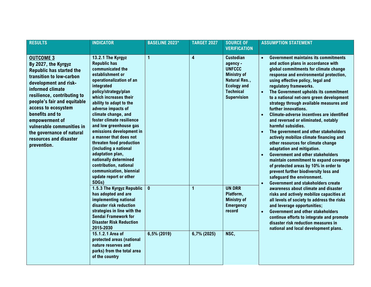| <b>RESULTS</b>                                                                                                                                                                                                                                                                                                                                                                   | <b>INDICATOR</b>                                                                                                                                                                                                                                                                                                                                                                                                                                                                                                                                           | <b>BASELINE 2023*</b>       | <b>TARGET 2027</b> | <b>SOURCE OF</b><br><b>VERIFICATION</b>                                                                                                                                                                  | <b>ASSUMPTION STATEMENT</b>                                                                                                                                                                                                                                                                                                                                                                                                                                                                                                                                                                                                                                                                                                                                                                                                                                                                                                                        |
|----------------------------------------------------------------------------------------------------------------------------------------------------------------------------------------------------------------------------------------------------------------------------------------------------------------------------------------------------------------------------------|------------------------------------------------------------------------------------------------------------------------------------------------------------------------------------------------------------------------------------------------------------------------------------------------------------------------------------------------------------------------------------------------------------------------------------------------------------------------------------------------------------------------------------------------------------|-----------------------------|--------------------|----------------------------------------------------------------------------------------------------------------------------------------------------------------------------------------------------------|----------------------------------------------------------------------------------------------------------------------------------------------------------------------------------------------------------------------------------------------------------------------------------------------------------------------------------------------------------------------------------------------------------------------------------------------------------------------------------------------------------------------------------------------------------------------------------------------------------------------------------------------------------------------------------------------------------------------------------------------------------------------------------------------------------------------------------------------------------------------------------------------------------------------------------------------------|
| <b>OUTCOME 3</b><br>By 2027, the Kyrgyz<br><b>Republic has started the</b><br>transition to low-carbon<br>development and risk-<br>informed climate<br>resilience, contributing to<br>people's fair and equitable<br>access to ecosystem<br>benefits and to<br>empowerment of<br>vulnerable communities in<br>the governance of natural<br>resources and disaster<br>prevention. | 13.2.1 The Kyrgyz<br><b>Republic has</b><br>communicated the<br>establishment or<br>operationalization of an<br>integrated<br>policy/strategy/plan<br>which increases their<br>ability to adapt to the<br>adverse impacts of<br>climate change, and<br>foster climate resilience<br>and low greenhouse gas<br>emissions development in<br>a manner that does not<br>threaten food production<br>(including a national<br>adaptation plan,<br>nationally determined<br>contribution, national<br>communication, biennial<br>update report or other<br>SDGs) | 1                           | 4                  | <b>Custodian</b><br>agency -<br><b>UNFCCC</b><br><b>Ministry of</b><br>Natural Res.,<br><b>Ecology and</b><br><b>Technical</b><br>$\bullet$<br><b>Supervision</b><br>$\bullet$<br>$\bullet$<br>$\bullet$ | <b>Government maintains its commitments</b><br>$\bullet$<br>and action plans in accordance with<br>global commitments for climate change<br>response and environmental protection,<br>using effective policy, legal and<br>regulatory frameworks.<br>The Government upholds its commitment<br>to a national net-zero green development<br>strategy through available measures and<br>further innovations.<br><b>Climate-adverse incentives are identified</b><br>and reversed or eliminated, notably<br>harmful subsidies.<br>The government and other stakeholders<br>actively mobilize climate financing and<br>other resources for climate change<br>adaptation and mitigation.<br><b>Government and other stakeholders</b><br>maintain commitment to expand coverage<br>of protected areas by 10% in order to<br>prevent further biodiversity loss and<br>safeguard the environment.<br><b>Government and stakeholders create</b><br>$\bullet$ |
|                                                                                                                                                                                                                                                                                                                                                                                  | 1.5.3 The Kyrgyz Republic<br>has adopted and are<br>implementing national<br>disaster risk reduction<br>strategies in line with the<br><b>Sendai Framework for</b><br><b>Disaster Risk Reduction</b><br>2015-2030<br>15.1.2.1 Area of<br>protected areas (national<br>nature reserves and<br>parks) from the total area<br>of the country                                                                                                                                                                                                                  | $\mathbf{0}$<br>6,5% (2019) | 1<br>6,7% (2025)   | <b>UN DRR</b><br>Platform,<br><b>Ministry of</b><br><b>Emergency</b><br>record<br>NSC,                                                                                                                   | awareness about climate and disaster<br>risks and actively mobilize capacities at<br>all levels of society to address the risks<br>and leverage opportunities;<br><b>Government and other stakeholders</b><br>$\bullet$<br>continue efforts to integrate and promote<br>disaster risk reduction measures in<br>national and local development plans.                                                                                                                                                                                                                                                                                                                                                                                                                                                                                                                                                                                               |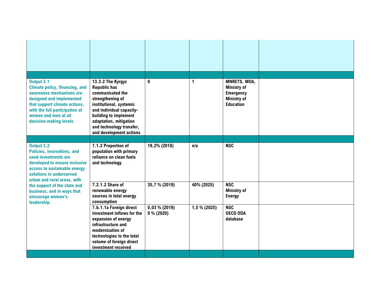| Output 3.1<br><b>Climate policy, financing, and</b><br>awareness mechanisms are<br>designed and implemented<br>that support climate actions,<br>with the full participation of<br>women and men at all<br>decision-making levels. | 13.3.2 The Kyrgyz<br><b>Republic has</b><br>communicated the<br>strengthening of<br>institutional, systemic<br>and individual capacity-<br>building to implement<br>adaptation, mitigation<br>and technology transfer,<br>and development actions | 0                               | 1            | MNRETS, MOA,<br><b>Ministry of</b><br><b>Emergency</b><br><b>Ministry of</b><br><b>Education</b> |  |
|-----------------------------------------------------------------------------------------------------------------------------------------------------------------------------------------------------------------------------------|---------------------------------------------------------------------------------------------------------------------------------------------------------------------------------------------------------------------------------------------------|---------------------------------|--------------|--------------------------------------------------------------------------------------------------|--|
|                                                                                                                                                                                                                                   |                                                                                                                                                                                                                                                   |                                 |              |                                                                                                  |  |
| Output 3.2<br><b>Policies, innovations, and</b><br>seed investments are<br>developed to ensure inclusive<br>access to sustainable energy<br>solutions in underserved<br>urban and rural areas, with                               | 7.1.2 Proportion of<br>population with primary<br>reliance on clean fuels<br>and technology                                                                                                                                                       | 19,2% (2018)                    | n/a          | <b>NSC</b>                                                                                       |  |
| the support of the state and<br>business, and in ways that<br>encourage women's<br>leadership.                                                                                                                                    | 7.2.1.2 Share of<br>renewable energy<br>sources in total energy<br>consumption                                                                                                                                                                    | 35,7 % (2019)                   | 40% (2025)   | <b>NSC</b><br><b>Ministry of</b><br><b>Energy</b>                                                |  |
|                                                                                                                                                                                                                                   | 7.b.1.1a Foreign direct<br>investment inflows for the<br>expansion of energy<br>infrastructure and<br>modernization of<br>technologies to the total<br>volume of foreign direct<br>investment received                                            | $0,03\%$ (2019)<br>$0\%$ (2020) | 1,5 % (2025) | <b>NSC</b><br><b>OECD ODA</b><br>database                                                        |  |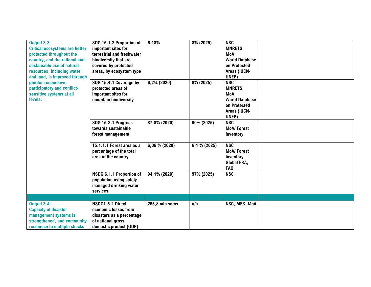| Output 3.3<br><b>Critical ecosystems are better</b><br>protected throughout the<br>country, and the rational and<br>sustainable use of natural<br>resources, including water<br>and land, is improved through | SDG 15.1.2 Proportion of<br>important sites for<br>terrestrial and freshwater<br>biodiversity that are<br>covered by protected<br>areas, by ecosystem type | 6.18%          | 8% (2025)    | <b>NSC</b><br><b>MNRETS</b><br><b>MoA</b><br><b>World Database</b><br>on Protected<br>Areas (IUCN-<br>UNEP) |  |
|---------------------------------------------------------------------------------------------------------------------------------------------------------------------------------------------------------------|------------------------------------------------------------------------------------------------------------------------------------------------------------|----------------|--------------|-------------------------------------------------------------------------------------------------------------|--|
| gender-responsive,<br>participatory and conflict-<br>sensitive systems at all<br>levels.                                                                                                                      | SDG 15.4.1 Coverage by<br>protected areas of<br>important sites for<br>mountain biodiversity                                                               | 6,2% (2020)    | 8% (2025)    | <b>NSC</b><br><b>MNRETS</b><br><b>MoA</b><br><b>World Database</b><br>on Protected<br>Areas (IUCN-<br>UNEP) |  |
|                                                                                                                                                                                                               | SDG 15.2.1 Progress<br>towards sustainable<br>forest management                                                                                            | 87,8% (2020)   | 90% (2025)   | <b>NSC</b><br><b>MoA/Forest</b><br>inventory                                                                |  |
|                                                                                                                                                                                                               | 15.1.1.1 Forest area as a<br>percentage of the total<br>area of the country                                                                                | 6,06 % (2020)  | 6,1 % (2025) | <b>NSC</b><br><b>MoA/Forest</b><br>inventory<br>Global FRA,<br>FA <sub>0</sub>                              |  |
|                                                                                                                                                                                                               | NSDG 6.1.1 Proportion of<br>population using safely<br>managed drinking water<br>services                                                                  | 94,1% (2020)   | 97% (2025)   | <b>NSC</b>                                                                                                  |  |
|                                                                                                                                                                                                               |                                                                                                                                                            |                |              |                                                                                                             |  |
| Output 3.4<br><b>Capacity of disaster</b><br>management systems is<br>strengthened, and community<br>resilience to multiple shocks                                                                            | NSDG1.5.2 Direct<br>economic losses from<br>disasters as a percentage<br>of national gross<br>domestic product (GDP)                                       | 265,8 mln soms | n/a          | NSC, MES, MoA                                                                                               |  |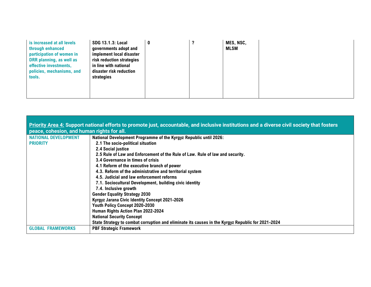| is increased at all levels<br>through enhanced<br>participation of women in<br>DRR planning, as well as<br>effective investments,<br>policies, mechanisms, and<br>tools. | <b>SDG 13.1.3: Local</b><br>governments adopt and<br>implement local disaster<br>risk reduction strategies<br>in line with national<br>disaster risk reduction<br>strategies |  | MES, NSC,<br><b>MLSM</b> |  |
|--------------------------------------------------------------------------------------------------------------------------------------------------------------------------|------------------------------------------------------------------------------------------------------------------------------------------------------------------------------|--|--------------------------|--|
|                                                                                                                                                                          |                                                                                                                                                                              |  |                          |  |

|                                                | Priority Area 4: Support national efforts to promote just, accountable, and inclusive institutions and a diverse civil society that fosters                                                                                                                                                                                                                                                                                                                           |
|------------------------------------------------|-----------------------------------------------------------------------------------------------------------------------------------------------------------------------------------------------------------------------------------------------------------------------------------------------------------------------------------------------------------------------------------------------------------------------------------------------------------------------|
| peace, cohesion, and human rights for all.     |                                                                                                                                                                                                                                                                                                                                                                                                                                                                       |
| <b>NATIONAL DEVELOPMENT</b><br><b>PRIORITY</b> | National Development Programme of the Kyrgyz Republic until 2026:<br>2.1 The socio-political situation<br>2.4 Social justice<br>2.5 Rule of Law and Enforcement of the Rule of Law. Rule of law and security.<br>3.4 Governance in times of crisis<br>4.1 Reform of the executive branch of power<br>4.3. Reform of the administrative and territorial system<br>4.5. Judicial and law enforcement reforms<br>7.1. Sociocultural Development, building civic identity |
|                                                | 7.4. Inclusive growth<br><b>Gender Equality Strategy 2030</b><br>Kyrgyz Jarana Civic Identity Concept 2021-2026<br>Youth Policy Concept 2020-2030<br>Human Rights Action Plan 2022-2024<br><b>National Security Concept</b><br>State Strategy to combat corruption and eliminate its causes in the Kyrgyz Republic for 2021-2024                                                                                                                                      |
| <b>GLOBAL FRAMEWORKS</b>                       | <b>PBF Strategic Framework</b>                                                                                                                                                                                                                                                                                                                                                                                                                                        |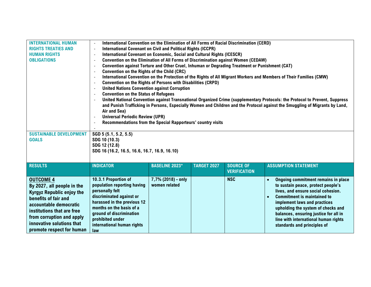| <b>INTERNATIONAL HUMAN</b><br><b>RIGHTS TREATIES AND</b><br><b>HUMAN RIGHTS</b><br><b>OBLIGATIONS</b>                                                                                                                                                     | International Convention on the Elimination of All Forms of Racial Discrimination (CERD)<br><b>International Covenant on Civil and Political Rights (ICCPR)</b><br>$\overline{\phantom{a}}$<br>International Covenant on Economic, Social and Cultural Rights (ICESCR)<br>$\overline{a}$<br>Convention on the Elimination of All Forms of Discrimination against Women (CEDAW)<br>$\sim$<br>Convention against Torture and Other Cruel, Inhuman or Degrading Treatment or Punishment (CAT)<br>$\tilde{\phantom{a}}$<br>Convention on the Rights of the Child (CRC)<br>$\overline{\phantom{a}}$<br>International Convention on the Protection of the Rights of All Migrant Workers and Members of Their Families (CMW)<br>$\sim$<br><b>Convention on the Rights of Persons with Disabilities (CRPD)</b><br>$\overline{\phantom{a}}$<br><b>United Nations Convention against Corruption</b><br>$\sim$<br><b>Convention on the Status of Refugees</b><br>$\sim$<br>United National Convention against Transnational Organized Crime (supplementary Protocols: the Protocol to Prevent, Suppress<br>$\overline{\phantom{a}}$<br>and Punish Trafficking in Persons, Especially Women and Children and the Protocol against the Smuggling of Migrants by Land, |                                     |                    |                                         |                                                                                                                                                                                                                                                                                                                                                          |  |  |
|-----------------------------------------------------------------------------------------------------------------------------------------------------------------------------------------------------------------------------------------------------------|----------------------------------------------------------------------------------------------------------------------------------------------------------------------------------------------------------------------------------------------------------------------------------------------------------------------------------------------------------------------------------------------------------------------------------------------------------------------------------------------------------------------------------------------------------------------------------------------------------------------------------------------------------------------------------------------------------------------------------------------------------------------------------------------------------------------------------------------------------------------------------------------------------------------------------------------------------------------------------------------------------------------------------------------------------------------------------------------------------------------------------------------------------------------------------------------------------------------------------------------------------|-------------------------------------|--------------------|-----------------------------------------|----------------------------------------------------------------------------------------------------------------------------------------------------------------------------------------------------------------------------------------------------------------------------------------------------------------------------------------------------------|--|--|
| <b>SUSTAINABLE DEVELOPMENT</b><br><b>GOALS</b>                                                                                                                                                                                                            | Air and Sea)<br><b>Universal Periodic Review (UPR)</b><br>$\overline{\phantom{a}}$<br>Recommendations from the Special Rapporteurs' country visits<br>$\overline{\phantom{a}}$<br>SGD 5 (5.1, 5.2, 5.5)<br>SDG 10 (10.3)<br>SDG 12 (12.8)<br>SDG 16 (16.2, 16.5, 16.6, 16.7, 16.9, 16.10)                                                                                                                                                                                                                                                                                                                                                                                                                                                                                                                                                                                                                                                                                                                                                                                                                                                                                                                                                                |                                     |                    |                                         |                                                                                                                                                                                                                                                                                                                                                          |  |  |
| <b>RESULTS</b>                                                                                                                                                                                                                                            | <b>INDICATOR</b>                                                                                                                                                                                                                                                                                                                                                                                                                                                                                                                                                                                                                                                                                                                                                                                                                                                                                                                                                                                                                                                                                                                                                                                                                                         | <b>BASELINE 2023*</b>               | <b>TARGET 2027</b> | <b>SOURCE OF</b><br><b>VERIFICATION</b> | <b>ASSUMPTION STATEMENT</b>                                                                                                                                                                                                                                                                                                                              |  |  |
| <b>OUTCOME 4</b><br>By 2027, all people in the<br><b>Kyrgyz Republic enjoy the</b><br>benefits of fair and<br>accountable democratic<br>institutions that are free<br>from corruption and apply<br>innovative solutions that<br>promote respect for human | 10.3.1 Proportion of<br>population reporting having<br>personally felt<br>discriminated against or<br>harassed in the previous 12<br>months on the basis of a<br>ground of discrimination<br>prohibited under<br>international human rights<br>law                                                                                                                                                                                                                                                                                                                                                                                                                                                                                                                                                                                                                                                                                                                                                                                                                                                                                                                                                                                                       | 7,7% (2018) - only<br>women related |                    | <b>NSC</b>                              | Ongoing commitment remains in place<br>$\bullet$<br>to sustain peace, protect people's<br>lives, and ensure social cohesion.<br><b>Commitment is maintained to</b><br>implement laws and practices<br>upholding the system of checks and<br>balances, ensuring justice for all in<br>line with international human rights<br>standards and principles of |  |  |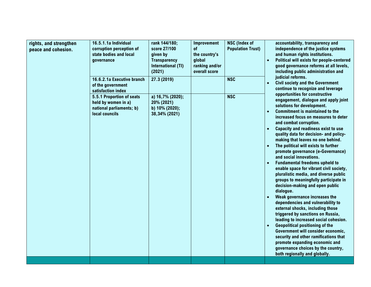| rights, and strengthen<br>peace and cohesion. | 16.5.1.1a Individual<br>corruption perception of<br>state bodies and local<br>governance<br>16.6.2.1a Executive branch<br>of the government<br>satisfaction index<br>5.5.1 Proportion of seats<br>held by women in a)<br>national parliaments; b)<br>local councils | rank 144/180;<br>score 27/100<br>given by<br><b>Transparency</b><br>International (TI)<br>(2021)<br>27.3 (2019)<br>a) 16,7% (2020);<br>20% (2021)<br>b) 10% (2020);<br>38,34% (2021) | Improvement<br>0f<br>the country's<br>global<br>ranking and/or<br>overall score | <b>NSC</b> (Index of<br><b>Population Trust)</b><br><b>NSC</b><br><b>NSC</b> | $\bullet$<br>$\bullet$ | accountability, transparency and<br>independence of the justice systems<br>and human rights institutions.<br>Political will exists for people-centered<br>good governance reforms at all levels,<br>including public administration and<br>judicial reforms.<br><b>Civil society and the Government</b><br>continue to recognize and leverage<br>opportunities for constructive<br>engagement, dialogue and apply joint<br>solutions for development.<br><b>Commitment is maintained to the</b><br>increased focus on measures to deter<br>and combat corruption.<br>Capacity and readiness exist to use<br>quality data for decision- and policy-<br>making that leaves no one behind.<br>The political will exists to further<br>promote governance (e-Governance)<br>and social innovations.<br><b>Fundamental freedoms upheld to</b><br>enable space for vibrant civil society,<br>pluralistic media, and diverse public<br>groups to meaningfully participate in<br>decision-making and open public<br>dialogue.<br>Weak governance increases the<br>dependencies and vulnerability to<br>external shocks, including those<br>triggered by sanctions on Russia,<br>leading to increased social cohesion.<br><b>Geopolitical positioning of the</b><br>Government will consider economic,<br>security and other ramifications that<br>promote expanding economic and<br>governance choices by the country,<br>both regionally and globally. |
|-----------------------------------------------|---------------------------------------------------------------------------------------------------------------------------------------------------------------------------------------------------------------------------------------------------------------------|--------------------------------------------------------------------------------------------------------------------------------------------------------------------------------------|---------------------------------------------------------------------------------|------------------------------------------------------------------------------|------------------------|-------------------------------------------------------------------------------------------------------------------------------------------------------------------------------------------------------------------------------------------------------------------------------------------------------------------------------------------------------------------------------------------------------------------------------------------------------------------------------------------------------------------------------------------------------------------------------------------------------------------------------------------------------------------------------------------------------------------------------------------------------------------------------------------------------------------------------------------------------------------------------------------------------------------------------------------------------------------------------------------------------------------------------------------------------------------------------------------------------------------------------------------------------------------------------------------------------------------------------------------------------------------------------------------------------------------------------------------------------------------------------------------------------------------------------------------------|
|-----------------------------------------------|---------------------------------------------------------------------------------------------------------------------------------------------------------------------------------------------------------------------------------------------------------------------|--------------------------------------------------------------------------------------------------------------------------------------------------------------------------------------|---------------------------------------------------------------------------------|------------------------------------------------------------------------------|------------------------|-------------------------------------------------------------------------------------------------------------------------------------------------------------------------------------------------------------------------------------------------------------------------------------------------------------------------------------------------------------------------------------------------------------------------------------------------------------------------------------------------------------------------------------------------------------------------------------------------------------------------------------------------------------------------------------------------------------------------------------------------------------------------------------------------------------------------------------------------------------------------------------------------------------------------------------------------------------------------------------------------------------------------------------------------------------------------------------------------------------------------------------------------------------------------------------------------------------------------------------------------------------------------------------------------------------------------------------------------------------------------------------------------------------------------------------------------|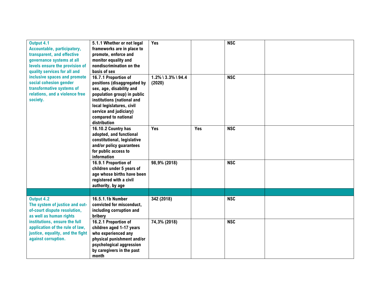| Output 4.1                         | 5.1.1 Whether or not legal  | Yes                   |     | <b>NSC</b> |  |
|------------------------------------|-----------------------------|-----------------------|-----|------------|--|
| <b>Accountable, participatory,</b> | frameworks are in place to  |                       |     |            |  |
| transparent, and effective         | promote, enforce and        |                       |     |            |  |
| governance systems at all          | monitor equality and        |                       |     |            |  |
| levels ensure the provision of     | nondiscrimination on the    |                       |     |            |  |
| quality services for all and       | basis of sex                |                       |     |            |  |
| inclusive spaces and promote       | 16.7.1 Proportion of        | $1.2\%$ \ 3.3% \ 94.4 |     | <b>NSC</b> |  |
| social cohesion gender             | positions (disaggregated by | (2020)                |     |            |  |
| transformative systems of          | sex, age, disability and    |                       |     |            |  |
| relations, and a violence free     | population group) in public |                       |     |            |  |
| society.                           | institutions (national and  |                       |     |            |  |
|                                    | local legislatures, civil   |                       |     |            |  |
|                                    | service and judiciary)      |                       |     |            |  |
|                                    | compared to national        |                       |     |            |  |
|                                    | distribution                |                       |     |            |  |
|                                    |                             | Yes                   | Yes | <b>NSC</b> |  |
|                                    | 16.10.2 Country has         |                       |     |            |  |
|                                    | adopted, and functional     |                       |     |            |  |
|                                    | constitutional, legislative |                       |     |            |  |
|                                    | and/or policy guarantees    |                       |     |            |  |
|                                    | for public access to        |                       |     |            |  |
|                                    | information                 |                       |     |            |  |
|                                    | 16.9.1 Proportion of        | 98,9% (2018)          |     | <b>NSC</b> |  |
|                                    | children under 5 years of   |                       |     |            |  |
|                                    | age whose births have been  |                       |     |            |  |
|                                    | registered with a civil     |                       |     |            |  |
|                                    | authority, by age           |                       |     |            |  |
|                                    |                             |                       |     |            |  |
| Output 4.2                         | 16.5.1.1b Number            | 342 (2018)            |     | <b>NSC</b> |  |
| The system of justice and out-     | convicted for misconduct,   |                       |     |            |  |
| of-court dispute resolution,       | including corruption and    |                       |     |            |  |
| as well as human rights            | bribery                     |                       |     |            |  |
| institutions, ensure the full      | 16.2.1 Proportion of        | 74,3% (2018)          |     | <b>NSC</b> |  |
| application of the rule of law,    | children aged 1-17 years    |                       |     |            |  |
| justice, equality, and the fight   | who experienced any         |                       |     |            |  |
| against corruption.                | physical punishment and/or  |                       |     |            |  |
|                                    | psychological aggression    |                       |     |            |  |
|                                    | by caregivers in the past   |                       |     |            |  |
|                                    | month                       |                       |     |            |  |